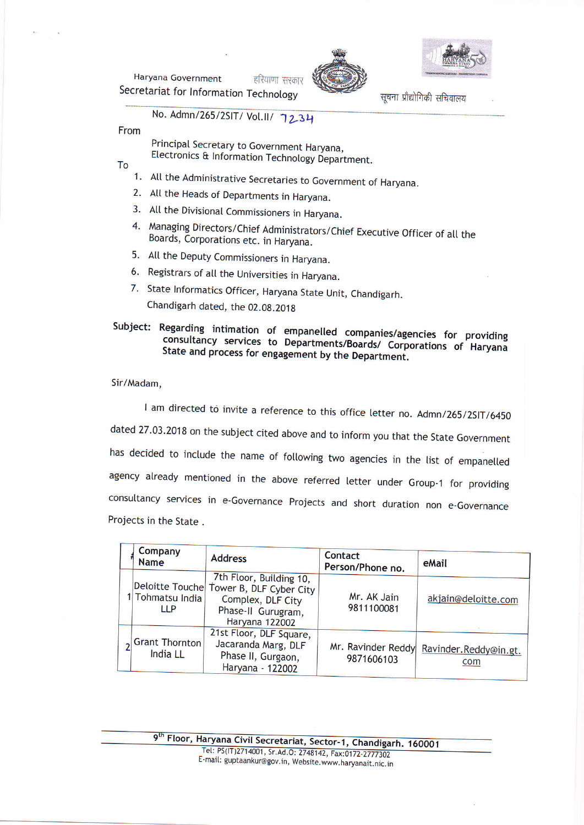Haryana Government हरियाणा सरकार Secretariat for Information Technology





सूचना प्रौद्योगिकी सचिवालय

No. Admn/265/2SIT/ Vol.II/ 7234

From

Principal Secretary to Government Haryana, Electronics & Information Technology Department.

To

- 1. All the Administrative Secretaries to Government of Haryana.
- 2. All the Heads of Departments in Haryana.
- 3. All the Divisional Commissioners in Haryana.
- 4. Managing Directors/Chief Administrators/Chief Executive Officer of all the Boards, Corporations etc. in Haryana.
- 5. All the Deputy Commissioners in Haryana.
- 6. Registrars of all the Universities in Haryana.
- 7. State Informatics Officer, Haryana State Unit, Chandigarh. Chandigarh dated, the 02.08.2018

## Subject: Regarding intimation of empanelled companies/agencies for providing consultancy services to Departments/Boards/ Corporations of Haryana State and process for engagement by the Department.

## Sir/Madam.

I am directed to invite a reference to this office letter no. Admn/265/2SIT/6450 dated 27.03.2018 on the subject cited above and to inform you that the State Government has decided to include the name of following two agencies in the list of empanelled agency already mentioned in the above referred letter under Group-1 for providing consultancy services in e-Governance Projects and short duration non e-Governance Projects in the State.

| Company<br>Name                | <b>Address</b>                                                                                                                  | Contact<br>Person/Phone no. | eMail                                            |
|--------------------------------|---------------------------------------------------------------------------------------------------------------------------------|-----------------------------|--------------------------------------------------|
| 1 Tohmatsu India<br><b>LLP</b> | 7th Floor, Building 10,<br>Deloitte Touche Tower B, DLF Cyber City<br>Complex, DLF City<br>Phase-II Gurugram,<br>Haryana 122002 | Mr. AK Jain<br>9811100081   | akjain@deloitte.com                              |
| Grant Thornton<br>India LL     | 21st Floor, DLF Square,<br>Jacaranda Marg, DLF<br>Phase II, Gurgaon,<br>Haryana - 122002                                        | 9871606103                  | Mr. Ravinder Reddy Ravinder. Reddy@in.gt.<br>com |